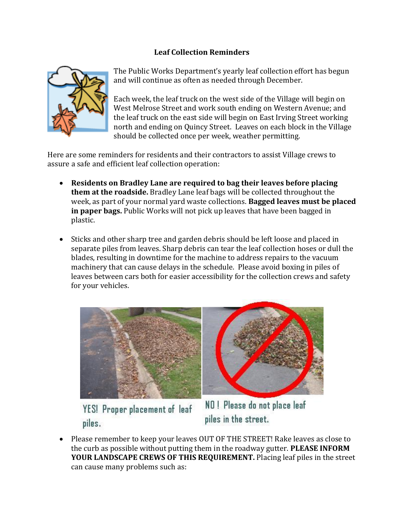## **Leaf Collection Reminders**



The Public Works Department's yearly leaf collection effort has begun and will continue as often as needed through December.

Each week, the leaf truck on the west side of the Village will begin on West Melrose Street and work south ending on Western Avenue; and the leaf truck on the east side will begin on East Irving Street working north and ending on Quincy Street. Leaves on each block in the Village should be collected once per week, weather permitting.

Here are some reminders for residents and their contractors to assist Village crews to assure a safe and efficient leaf collection operation:

- **Residents on Bradley Lane are required to bag their leaves before placing them at the roadside.** Bradley Lane leaf bags will be collected throughout the week, as part of your normal yard waste collections. **Bagged leaves must be placed in paper bags.** Public Works will not pick up leaves that have been bagged in plastic.
- Sticks and other sharp tree and garden debris should be left loose and placed in separate piles from leaves. Sharp debris can tear the leaf collection hoses or dull the blades, resulting in downtime for the machine to address repairs to the vacuum machinery that can cause delays in the schedule. Please avoid boxing in piles of leaves between cars both for easier accessibility for the collection crews and safety for your vehicles.



YES! Proper placement of leaf piles.

NO! Please do not place leaf piles in the street.

• Please remember to keep your leaves OUT OF THE STREET! Rake leaves as close to the curb as possible without putting them in the roadway gutter. **PLEASE INFORM YOUR LANDSCAPE CREWS OF THIS REQUIREMENT.** Placing leaf piles in the street can cause many problems such as: